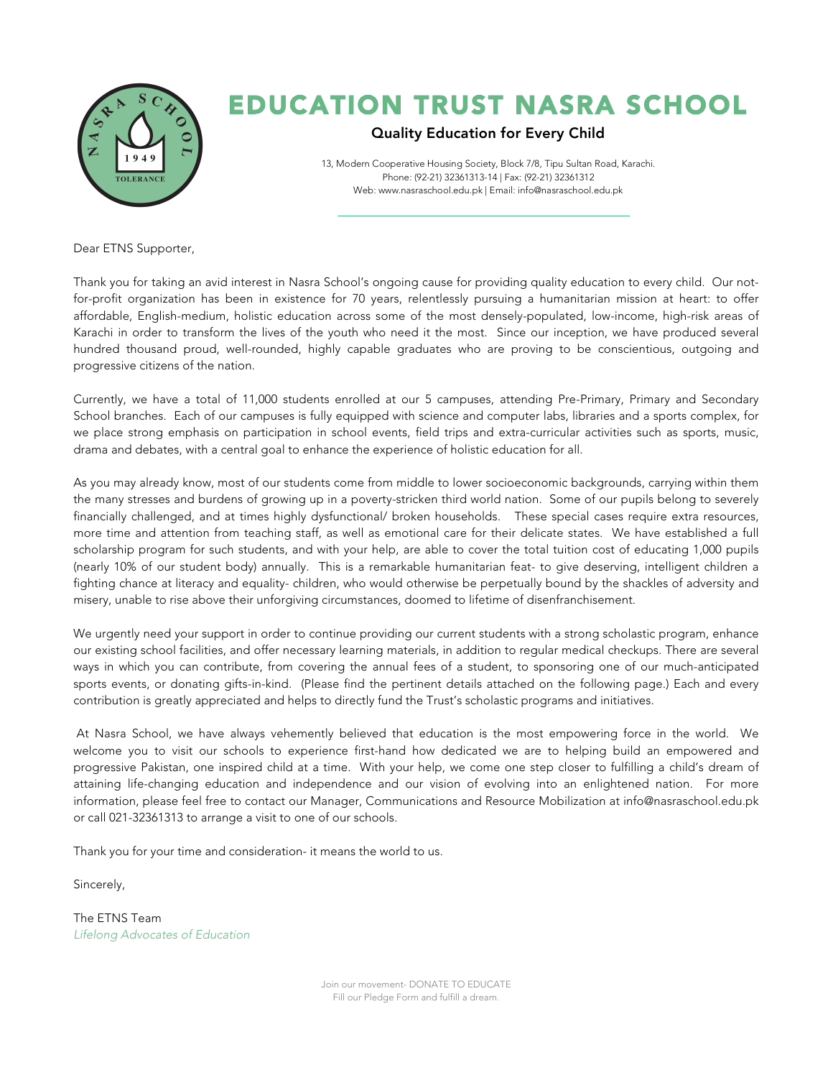

## EDUCATION TRUST NASRA SCHOOL

## Quality Education for Every Child

13, Modern Cooperative Housing Society, Block 7/8, Tipu Sultan Road, Karachi. Phone: (92-21) 32361313-14 | Fax: (92-21) 32361312 Web: www.nasraschool.edu.pk | Email: info@nasraschool.edu.pk

Dear ETNS Supporter,

Thank you for taking an avid interest in Nasra School's ongoing cause for providing quality education to every child. Our notfor-profit organization has been in existence for 70 years, relentlessly pursuing a humanitarian mission at heart: to offer affordable, English-medium, holistic education across some of the most densely-populated, low-income, high-risk areas of Karachi in order to transform the lives of the youth who need it the most. Since our inception, we have produced several hundred thousand proud, well-rounded, highly capable graduates who are proving to be conscientious, outgoing and progressive citizens of the nation.

Currently, we have a total of 11,000 students enrolled at our 5 campuses, attending Pre-Primary, Primary and Secondary School branches. Each of our campuses is fully equipped with science and computer labs, libraries and a sports complex, for we place strong emphasis on participation in school events, field trips and extra-curricular activities such as sports, music, drama and debates, with a central goal to enhance the experience of holistic education for all.

As you may already know, most of our students come from middle to lower socioeconomic backgrounds, carrying within them the many stresses and burdens of growing up in a poverty-stricken third world nation. Some of our pupils belong to severely financially challenged, and at times highly dysfunctional/ broken households. These special cases require extra resources, more time and attention from teaching staff, as well as emotional care for their delicate states. We have established a full scholarship program for such students, and with your help, are able to cover the total tuition cost of educating 1,000 pupils (nearly 10% of our student body) annually. This is a remarkable humanitarian feat- to give deserving, intelligent children a fighting chance at literacy and equality- children, who would otherwise be perpetually bound by the shackles of adversity and misery, unable to rise above their unforgiving circumstances, doomed to lifetime of disenfranchisement.

We urgently need your support in order to continue providing our current students with a strong scholastic program, enhance our existing school facilities, and offer necessary learning materials, in addition to regular medical checkups. There are several ways in which you can contribute, from covering the annual fees of a student, to sponsoring one of our much-anticipated sports events, or donating gifts-in-kind. (Please find the pertinent details attached on the following page.) Each and every contribution is greatly appreciated and helps to directly fund the Trust's scholastic programs and initiatives.

At Nasra School, we have always vehemently believed that education is the most empowering force in the world. We welcome you to visit our schools to experience first-hand how dedicated we are to helping build an empowered and progressive Pakistan, one inspired child at a time. With your help, we come one step closer to fulfilling a child's dream of attaining life-changing education and independence and our vision of evolving into an enlightened nation. For more information, please feel free to contact our Manager, Communications and Resource Mobilization at info@nasraschool.edu.pk or call 021-32361313 to arrange a visit to one of our schools.

Thank you for your time and consideration- it means the world to us.

Sincerely,

The ETNS Team *Lifelong Advocates of Education*

> Join our movement- DONATE TO EDUCATE Fill our Pledge Form and fulfill a dream.